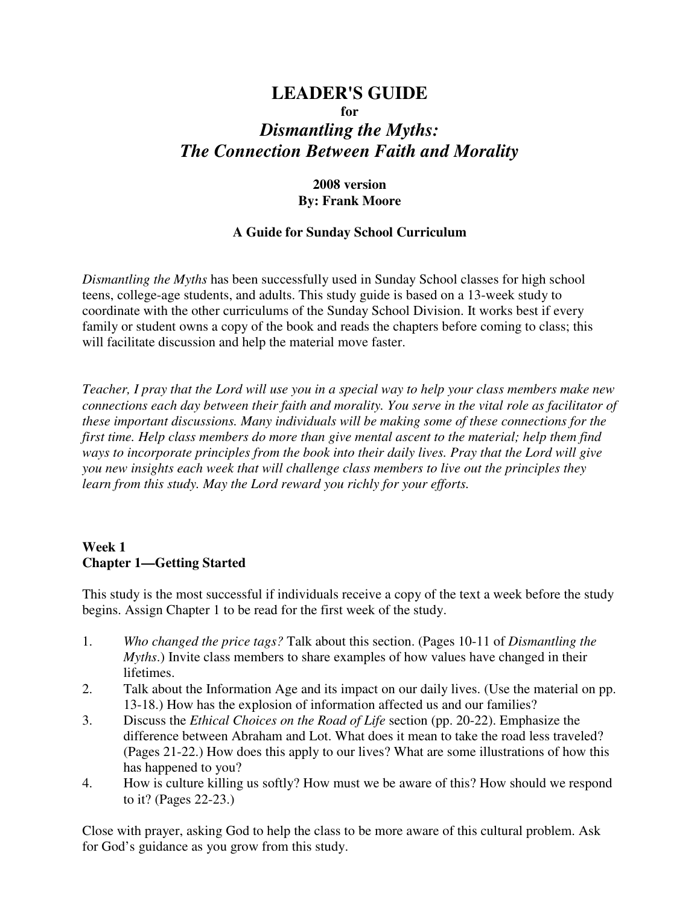## **LEADER'S GUIDE for**

# *Dismantling the Myths: The Connection Between Faith and Morality*

#### **2008 version By: Frank Moore**

#### **A Guide for Sunday School Curriculum**

*Dismantling the Myths* has been successfully used in Sunday School classes for high school teens, college-age students, and adults. This study guide is based on a 13-week study to coordinate with the other curriculums of the Sunday School Division. It works best if every family or student owns a copy of the book and reads the chapters before coming to class; this will facilitate discussion and help the material move faster.

*Teacher, I pray that the Lord will use you in a special way to help your class members make new connections each day between their faith and morality. You serve in the vital role as facilitator of these important discussions. Many individuals will be making some of these connections for the first time. Help class members do more than give mental ascent to the material; help them find ways to incorporate principles from the book into their daily lives. Pray that the Lord will give you new insights each week that will challenge class members to live out the principles they learn from this study. May the Lord reward you richly for your efforts.* 

# **Week 1 Chapter 1—Getting Started**

This study is the most successful if individuals receive a copy of the text a week before the study begins. Assign Chapter 1 to be read for the first week of the study.

- 1. *Who changed the price tags?* Talk about this section. (Pages 10-11 of *Dismantling the Myths*.) Invite class members to share examples of how values have changed in their lifetimes.
- 2. Talk about the Information Age and its impact on our daily lives. (Use the material on pp. 13-18.) How has the explosion of information affected us and our families?
- 3. Discuss the *Ethical Choices on the Road of Life* section (pp. 20-22). Emphasize the difference between Abraham and Lot. What does it mean to take the road less traveled? (Pages 21-22.) How does this apply to our lives? What are some illustrations of how this has happened to you?
- 4. How is culture killing us softly? How must we be aware of this? How should we respond to it? (Pages 22-23.)

Close with prayer, asking God to help the class to be more aware of this cultural problem. Ask for God's guidance as you grow from this study.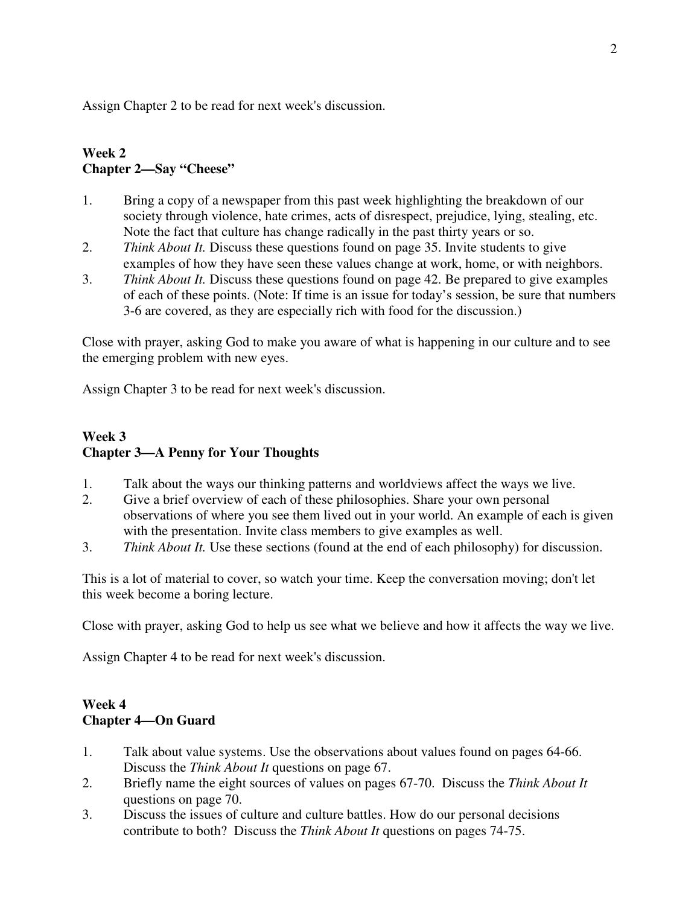Assign Chapter 2 to be read for next week's discussion.

## **Week 2 Chapter 2—Say "Cheese"**

- 1. Bring a copy of a newspaper from this past week highlighting the breakdown of our society through violence, hate crimes, acts of disrespect, prejudice, lying, stealing, etc. Note the fact that culture has change radically in the past thirty years or so.
- 2. *Think About It.* Discuss these questions found on page 35. Invite students to give examples of how they have seen these values change at work, home, or with neighbors.
- 3. *Think About It.* Discuss these questions found on page 42. Be prepared to give examples of each of these points. (Note: If time is an issue for today's session, be sure that numbers 3-6 are covered, as they are especially rich with food for the discussion.)

Close with prayer, asking God to make you aware of what is happening in our culture and to see the emerging problem with new eyes.

Assign Chapter 3 to be read for next week's discussion.

#### **Week 3 Chapter 3—A Penny for Your Thoughts**

- 1. Talk about the ways our thinking patterns and worldviews affect the ways we live.
- 2. Give a brief overview of each of these philosophies. Share your own personal observations of where you see them lived out in your world. An example of each is given with the presentation. Invite class members to give examples as well.
- 3. *Think About It.* Use these sections (found at the end of each philosophy) for discussion.

This is a lot of material to cover, so watch your time. Keep the conversation moving; don't let this week become a boring lecture.

Close with prayer, asking God to help us see what we believe and how it affects the way we live.

Assign Chapter 4 to be read for next week's discussion.

### **Week 4 Chapter 4—On Guard**

- 1. Talk about value systems. Use the observations about values found on pages 64-66. Discuss the *Think About It* questions on page 67.
- 2. Briefly name the eight sources of values on pages 67-70. Discuss the *Think About It* questions on page 70.
- 3. Discuss the issues of culture and culture battles. How do our personal decisions contribute to both? Discuss the *Think About It* questions on pages 74-75.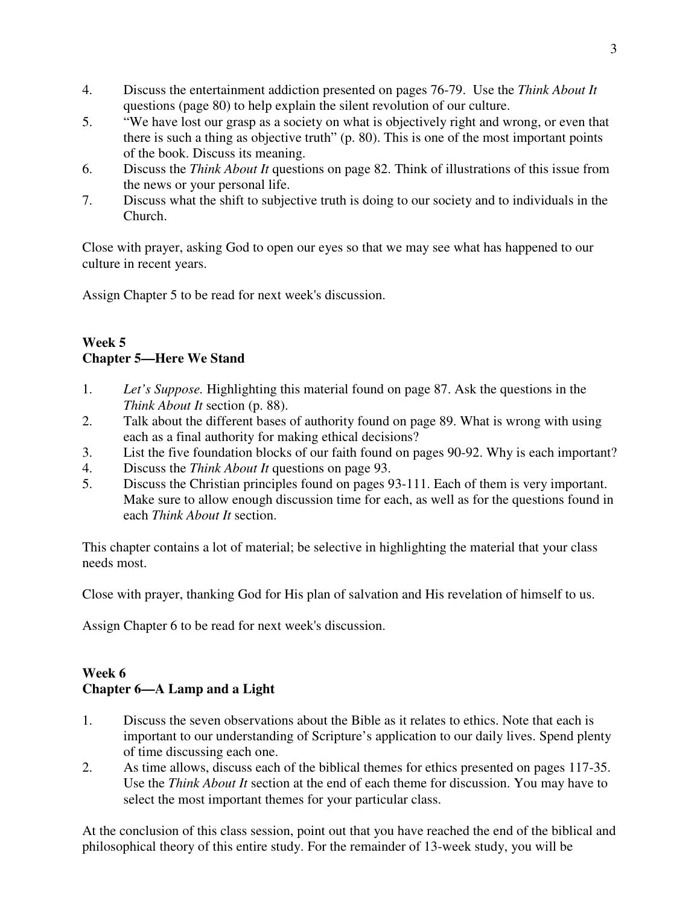- 4. Discuss the entertainment addiction presented on pages 76-79. Use the *Think About It* questions (page 80) to help explain the silent revolution of our culture.
- 5. "We have lost our grasp as a society on what is objectively right and wrong, or even that there is such a thing as objective truth" (p. 80). This is one of the most important points of the book. Discuss its meaning.
- 6. Discuss the *Think About It* questions on page 82. Think of illustrations of this issue from the news or your personal life.
- 7. Discuss what the shift to subjective truth is doing to our society and to individuals in the Church.

Close with prayer, asking God to open our eyes so that we may see what has happened to our culture in recent years.

Assign Chapter 5 to be read for next week's discussion.

#### **Week 5 Chapter 5—Here We Stand**

- 1. *Let's Suppose.* Highlighting this material found on page 87. Ask the questions in the *Think About It* section (p. 88).
- 2. Talk about the different bases of authority found on page 89. What is wrong with using each as a final authority for making ethical decisions?
- 3. List the five foundation blocks of our faith found on pages 90-92. Why is each important?
- 4. Discuss the *Think About It* questions on page 93.
- 5. Discuss the Christian principles found on pages 93-111. Each of them is very important. Make sure to allow enough discussion time for each, as well as for the questions found in each *Think About It* section.

This chapter contains a lot of material; be selective in highlighting the material that your class needs most.

Close with prayer, thanking God for His plan of salvation and His revelation of himself to us.

Assign Chapter 6 to be read for next week's discussion.

## **Week 6 Chapter 6—A Lamp and a Light**

- 1. Discuss the seven observations about the Bible as it relates to ethics. Note that each is important to our understanding of Scripture's application to our daily lives. Spend plenty of time discussing each one.
- 2. As time allows, discuss each of the biblical themes for ethics presented on pages 117-35. Use the *Think About It* section at the end of each theme for discussion. You may have to select the most important themes for your particular class.

At the conclusion of this class session, point out that you have reached the end of the biblical and philosophical theory of this entire study. For the remainder of 13-week study, you will be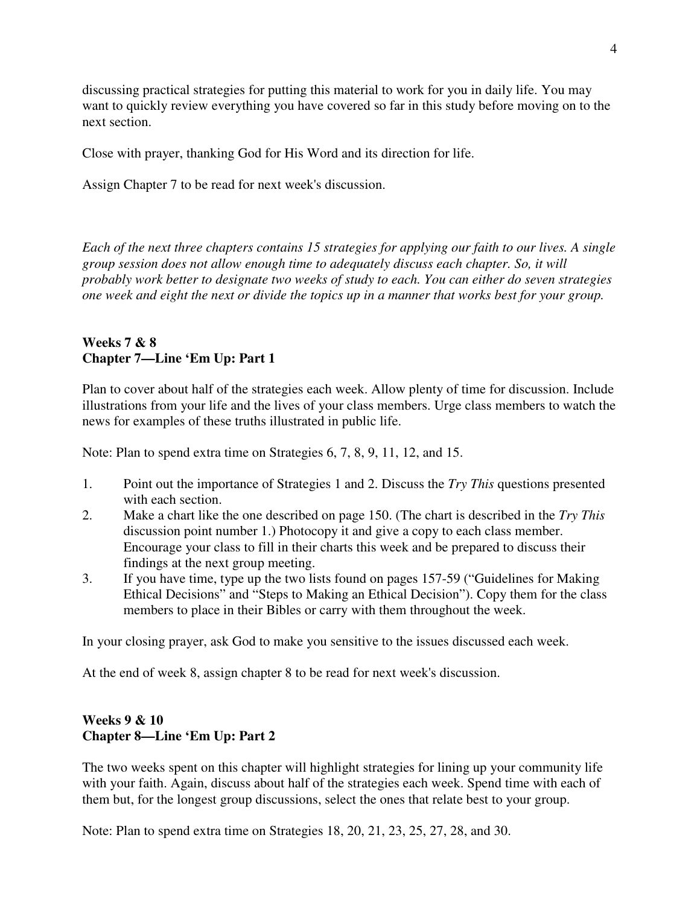discussing practical strategies for putting this material to work for you in daily life. You may want to quickly review everything you have covered so far in this study before moving on to the next section.

Close with prayer, thanking God for His Word and its direction for life.

Assign Chapter 7 to be read for next week's discussion.

*Each of the next three chapters contains 15 strategies for applying our faith to our lives. A single group session does not allow enough time to adequately discuss each chapter. So, it will probably work better to designate two weeks of study to each. You can either do seven strategies one week and eight the next or divide the topics up in a manner that works best for your group.* 

#### **Weeks 7 & 8 Chapter 7—Line 'Em Up: Part 1**

Plan to cover about half of the strategies each week. Allow plenty of time for discussion. Include illustrations from your life and the lives of your class members. Urge class members to watch the news for examples of these truths illustrated in public life.

Note: Plan to spend extra time on Strategies 6, 7, 8, 9, 11, 12, and 15.

- 1. Point out the importance of Strategies 1 and 2. Discuss the *Try This* questions presented with each section.
- 2. Make a chart like the one described on page 150. (The chart is described in the *Try This* discussion point number 1.) Photocopy it and give a copy to each class member. Encourage your class to fill in their charts this week and be prepared to discuss their findings at the next group meeting.
- 3. If you have time, type up the two lists found on pages 157-59 ("Guidelines for Making Ethical Decisions" and "Steps to Making an Ethical Decision"). Copy them for the class members to place in their Bibles or carry with them throughout the week.

In your closing prayer, ask God to make you sensitive to the issues discussed each week.

At the end of week 8, assign chapter 8 to be read for next week's discussion.

## **Weeks 9 & 10 Chapter 8—Line 'Em Up: Part 2**

The two weeks spent on this chapter will highlight strategies for lining up your community life with your faith. Again, discuss about half of the strategies each week. Spend time with each of them but, for the longest group discussions, select the ones that relate best to your group.

Note: Plan to spend extra time on Strategies 18, 20, 21, 23, 25, 27, 28, and 30.